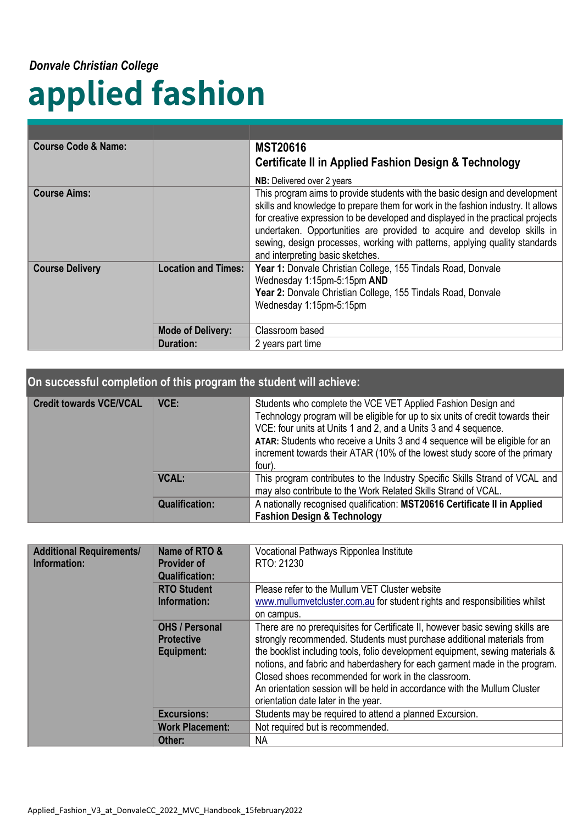#### *Donvale Christian College*

# **applied fashion**

| <b>Course Code &amp; Name:</b>                                                                                 |                          | <b>MST20616</b>                                                                                                                                                                                                                                                                                                                                                                                                                                  |
|----------------------------------------------------------------------------------------------------------------|--------------------------|--------------------------------------------------------------------------------------------------------------------------------------------------------------------------------------------------------------------------------------------------------------------------------------------------------------------------------------------------------------------------------------------------------------------------------------------------|
|                                                                                                                |                          | <b>Certificate II in Applied Fashion Design &amp; Technology</b>                                                                                                                                                                                                                                                                                                                                                                                 |
|                                                                                                                |                          | NB: Delivered over 2 years                                                                                                                                                                                                                                                                                                                                                                                                                       |
| <b>Course Aims:</b>                                                                                            |                          | This program aims to provide students with the basic design and development<br>skills and knowledge to prepare them for work in the fashion industry. It allows<br>for creative expression to be developed and displayed in the practical projects<br>undertaken. Opportunities are provided to acquire and develop skills in<br>sewing, design processes, working with patterns, applying quality standards<br>and interpreting basic sketches. |
| <b>Course Delivery</b><br><b>Location and Times:</b><br>Wednesday 1:15pm-5:15pm AND<br>Wednesday 1:15pm-5:15pm |                          | Year 1: Donvale Christian College, 155 Tindals Road, Donvale<br>Year 2: Donvale Christian College, 155 Tindals Road, Donvale                                                                                                                                                                                                                                                                                                                     |
|                                                                                                                | <b>Mode of Delivery:</b> | Classroom based                                                                                                                                                                                                                                                                                                                                                                                                                                  |
|                                                                                                                | <b>Duration:</b>         | 2 years part time                                                                                                                                                                                                                                                                                                                                                                                                                                |

#### **On successful completion of this program the student will achieve:**

| <b>Credit towards VCE/VCAL</b> | VCE:                  | Students who complete the VCE VET Applied Fashion Design and<br>Technology program will be eligible for up to six units of credit towards their<br>VCE: four units at Units 1 and 2, and a Units 3 and 4 sequence.<br>ATAR: Students who receive a Units 3 and 4 sequence will be eligible for an<br>increment towards their ATAR (10% of the lowest study score of the primary<br>four). |
|--------------------------------|-----------------------|-------------------------------------------------------------------------------------------------------------------------------------------------------------------------------------------------------------------------------------------------------------------------------------------------------------------------------------------------------------------------------------------|
|                                | <b>VCAL:</b>          | This program contributes to the Industry Specific Skills Strand of VCAL and<br>may also contribute to the Work Related Skills Strand of VCAL.                                                                                                                                                                                                                                             |
|                                | <b>Qualification:</b> | A nationally recognised qualification: MST20616 Certificate II in Applied<br><b>Fashion Design &amp; Technology</b>                                                                                                                                                                                                                                                                       |

| <b>Additional Requirements/</b><br>Information: | Name of RTO &<br><b>Provider of</b><br><b>Qualification:</b>    | Vocational Pathways Ripponlea Institute<br>RTO: 21230                                                                                                                                                                                                                                                                                                                                                                                                                                              |
|-------------------------------------------------|-----------------------------------------------------------------|----------------------------------------------------------------------------------------------------------------------------------------------------------------------------------------------------------------------------------------------------------------------------------------------------------------------------------------------------------------------------------------------------------------------------------------------------------------------------------------------------|
|                                                 | <b>RTO Student</b><br>Information:                              | Please refer to the Mullum VET Cluster website<br>www.mullumvetcluster.com.au for student rights and responsibilities whilst<br>on campus.                                                                                                                                                                                                                                                                                                                                                         |
|                                                 | <b>OHS / Personal</b><br><b>Protective</b><br><b>Equipment:</b> | There are no prerequisites for Certificate II, however basic sewing skills are<br>strongly recommended. Students must purchase additional materials from<br>the booklist including tools, folio development equipment, sewing materials &<br>notions, and fabric and haberdashery for each garment made in the program.<br>Closed shoes recommended for work in the classroom.<br>An orientation session will be held in accordance with the Mullum Cluster<br>orientation date later in the year. |
|                                                 | <b>Excursions:</b>                                              | Students may be required to attend a planned Excursion.                                                                                                                                                                                                                                                                                                                                                                                                                                            |
|                                                 | <b>Work Placement:</b>                                          | Not required but is recommended.                                                                                                                                                                                                                                                                                                                                                                                                                                                                   |
|                                                 | Other:                                                          | NA.                                                                                                                                                                                                                                                                                                                                                                                                                                                                                                |